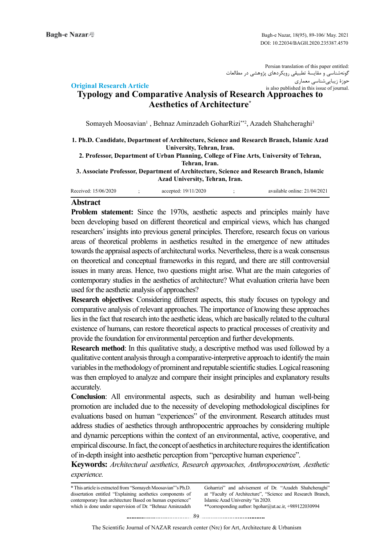Persian translation of this paper entitled: گونهشناسی و مقایسۀ تطبیقی رویکردهای پژوهشی در مطالعات حوزۀ زیباییشناسی معماری is also published in this issue of journal.

# **Article Research Article Typology and Comparative Analysis of Research Approaches to Aesthetics of Architecture\***

Somayeh Moosavian<sup>1</sup>, Behnaz Aminzadeh GoharRizi<sup>\*\*2</sup>, Azadeh Shahcheraghi<sup>3</sup>

**1. Ph.D. Candidate, Department of Architecture, Science and Research Branch, Islamic Azad University, Tehran, Iran.** 

2. Professor, Department of Urban Planning, College of Fine Arts, University of Tehran, Tehran, Iran.

 **3. Associate Professor, Department of Architecture, Science and Research Branch, Islamic Azad University, Tehran, Iran.** 

| Received: 15/06/2020 |  | accepted: $19/11/2020$<br>the contract of the contract of the contract of the contract of the contract of the contract of the contract of |  | available online: 21/04/2021 |
|----------------------|--|-------------------------------------------------------------------------------------------------------------------------------------------|--|------------------------------|
|----------------------|--|-------------------------------------------------------------------------------------------------------------------------------------------|--|------------------------------|

## **Abstract**

Problem statement: Since the 1970s, aesthetic aspects and principles mainly have been developing based on different theoretical and empirical views, which has changed researchers' insights into previous general principles. Therefore, research focus on various areas of theoretical problems in aesthetics resulted in the emergence of new attitudes towards the appraisal aspects of architectural works. Nevertheless, there is a weak consensus on theoretical and conceptual frameworks in this regard, and there are still controversial issues in many areas. Hence, two questions might arise. What are the main categories of contemporary studies in the aesthetics of architecture? What evaluation criteria have been used for the aesthetic analysis of approaches?

Research objectives: Considering different aspects, this study focuses on typology and comparative analysis of relevant approaches. The importance of knowing these approaches lies in the fact that research into the aesthetic ideas, which are basically related to the cultural existence of humans, can restore theoretical aspects to practical processes of creativity and provide the foundation for environmental perception and further developments.

**Research method:** In this qualitative study, a descriptive method was used followed by a qualitative content analysis through a comparative-interpretive approach to identify the main variables in the methodology of prominent and reputable scientific studies. Logical reasoning was then employed to analyze and compare their insight principles and explanatory results .accurately

**Conclusion:** All environmental aspects, such as desirability and human well-being promotion are included due to the necessity of developing methodological disciplines for evaluations based on human "experiences" of the environment. Research attitudes must address studies of aesthetics through anthropocentric approaches by considering multiple and dynamic perceptions within the context of an environmental, active, cooperative, and empirical discourse. In fact, the concept of aesthetics in architecture requires the identification of in-depth insight into aesthetic perception from "perceptive human experience".

**Keywords:** Architectural aesthetics, Research approaches, Anthropocentrism, Aesthetic *.experience*

 $*$  This article is extracted from "Somayeh Moosavian"'s Ph.D. dissertation entitled "Explaining aesthetics components of contemporary Iran architecture Based on human experience" which is done under supervision of Dr. "Behnaz Aminzadeh Goharrizi" and advisement of Dr. "Azadeh Shahcheraghi" at "Faculty of Architecture", "Science and Research Branch, Islamic Azad University "in 2020.  $*$ corresponding author: bgohar@ut.ac.ir, +989122030994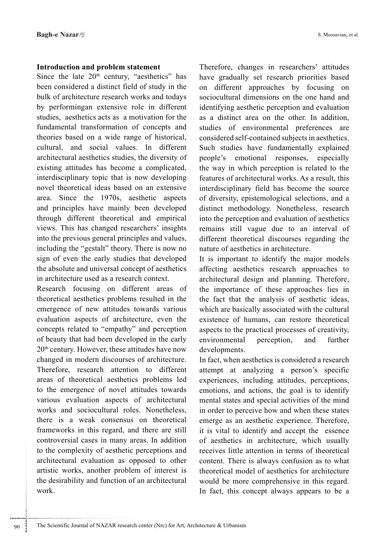## **Introduction and problem statement**

Since the late  $20<sup>th</sup>$  century, "aesthetics" has been considered a distinct field of study in the bulk of architecture research works and todays by performingan extensive role in different studies, aesthetics acts as a motivation for the fundamental transformation of concepts and theories based on a wide range of historical, cultural, and social values. In different architectural aesthetics studies, the diversity of existing attitudes has become a complicated, interdisciplinary topic that is now developing novel theoretical ideas based on an extensive area. Since the  $1970s$ , aesthetic aspects and principles have mainly been developed through different theoretical and empirical views. This has changed researchers' insights into the previous general principles and values, including the "gestalt" theory. There is now no sign of even the early studies that developed the absolute and universal concept of aesthetics in architecture used as a research context.

Research focusing on different areas of theoretical aesthetics problems resulted in the emergence of new attitudes towards various evaluation aspects of architecture, even the concepts related to "empathy" and perception of beauty that had been developed in the early  $20<sup>th</sup>$  century. However, these attitudes have now changed in modern discourses of architecture. Therefore, research attention to different areas of theoretical aesthetics problems led to the emergence of novel attitudes towards various evaluation aspects of architectural works and sociocultural roles. Nonetheless, there is a weak consensus on theoretical frameworks in this regard, and there are still controversial cases in many areas. In addition to the complexity of aesthetic perceptions and architectural evaluation as opposed to other artistic works, another problem of interest is the desirability and function of an architectural .work

Therefore, changes in researchers' attitudes have gradually set research priorities based on different approaches by focusing on sociocultural dimensions on the one hand and identifying aesthetic perception and evaluation as a distinct area on the other. In addition, studies of environmental preferences are considered self-contained subjects in aesthetics. Such studies have fundamentally explained people's emotional responses, especially the way in which perception is related to the features of architectural works. As a result, this interdisciplinary field has become the source of diversity, epistemological selections, and a distinct methodology. Nonetheless, research into the perception and evaluation of aesthetics remains still vague due to an interval of different theoretical discourses regarding the nature of aesthetics in architecture.

It is important to identify the major models affecting aesthetics research approaches to architectural design and planning. Therefore, the importance of these approaches lies in the fact that the analysis of aesthetic ideas, which are basically associated with the cultural existence of humans, can restore theoretical aspects to the practical processes of creativity. environmental perception, and further developments.

In fact, when aesthetics is considered a research attempt at analyzing a person's specific experiences, including attitudes, perceptions, emotions, and actions, the goal is to identify mental states and special activities of the mind in order to perceive how and when these states emerge as an aesthetic experience. Therefore, it is vital to identify and accept the essence of aesthetics in architecture, which usually receives little attention in terms of theoretical content. There is always confusion as to what theoretical model of aesthetics for architecture would be more comprehensive in this regard. In fact, this concept always appears to be a

............................................................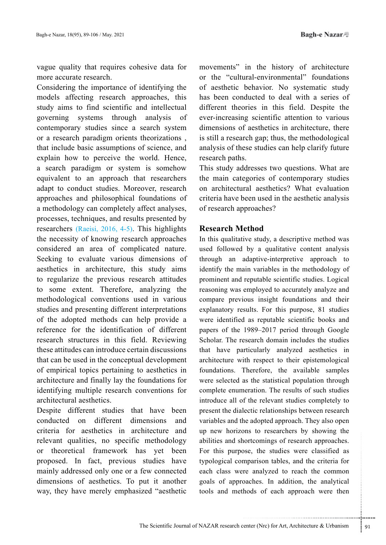vague quality that requires cohesive data for more accurate research.

Considering the importance of identifying the models affecting research approaches, this study aims to find scientific and intellectual governing systems through analysis of contemporary studies since a search system or a research paradigm orients theorizations, that include basic assumptions of science, and explain how to perceive the world. Hence, a search paradigm or system is somehow equivalent to an approach that researchers adapt to conduct studies. Moreover, research approaches and philosophical foundations of a methodology can completely affect analyses, processes, techniques, and results presented by researchers  $(Raeisi, 2016, 4-5)$ . This highlights the necessity of knowing research approaches considered an area of complicated nature. Seeking to evaluate various dimensions of aesthetics in architecture, this study aims to regularize the previous research attitudes to some extent. Therefore, analyzing the methodological conventions used in various studies and presenting different interpretations of the adopted methods can help provide a reference for the identification of different research structures in this field. Reviewing these attitudes can introduce certain discussions that can be used in the conceptual development of empirical topics pertaining to aesthetics in architecture and finally lay the foundations for identifying multiple research conventions for architectural aesthetics.

Despite different studies that have been conducted on different dimensions and criteria for aesthetics in architecture and relevant qualities, no specific methodology or theoretical framework has yet been proposed. In fact, previous studies have mainly addressed only one or a few connected dimensions of aesthetics. To put it another way, they have merely emphasized "aesthetic movements" in the history of architecture or the "cultural-environmental" foundations of aesthetic behavior. No systematic study has been conducted to deal with a series of different theories in this field. Despite the ever-increasing scientific attention to various dimensions of aesthetics in architecture, there is still a research gap; thus, the methodological analysis of these studies can help clarify future research paths.

This study addresses two questions. What are the main categories of contemporary studies on architectural aesthetics? What evaluation criteria have been used in the aesthetic analysis of research approaches?

# **Method Research**

Example is a resolution of your simple intervalsion and the set of a sumparison tables, and the criteria for re analyzed to reach the common poaches. In addition, the analytical holds of each approach were then In this qualitative study, a descriptive method was used followed by a qualitative content analysis through an adaptive-interpretive approach to identify the main variables in the methodology of prominent and reputable scientific studies. Logical reasoning was employed to accurately analyze and compare previous insight foundations and their explanatory results. For this purpose, 81 studies were identified as reputable scientific books and papers of the 1989–2017 period through Google Scholar. The research domain includes the studies that have particularly analyzed aesthetics in architecture with respect to their epistemological foundations. Therefore, the available samples were selected as the statistical population through complete enumeration. The results of such studies introduce all of the relevant studies completely to present the dialectic relationships between research variables and the adopted approach. They also open up new horizons to researchers by showing the abilities and shortcomings of research approaches. For this purpose, the studies were classified as typological comparison tables, and the criteria for each class were analyzed to reach the common goals of approaches. In addition, the analytical tools and methods of each approach were then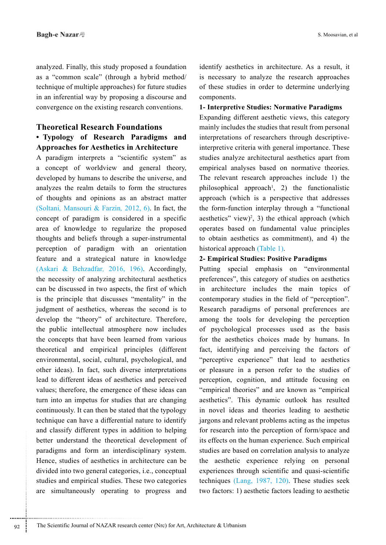analyzed. Finally, this study proposed a foundation as a "common scale" (through a hybrid method/ technique of multiple approaches) for future studies in an inferential way by proposing a discourse and convergence on the existing research conventions.

# **Theoretical Research Foundations • Typology of Research Paradigms and Approaches for Aesthetics in Architecture**

A paradigm interprets a "scientific system" as a concept of worldview and general theory, developed by humans to describe the universe, and analyzes the realm details to form the structures of thoughts and opinions as an abstract matter (Soltani, Mansouri & Farzin, 2012, 6). In fact, the concept of paradigm is considered in a specific area of knowledge to regularize the proposed thoughts and beliefs through a super-instrumental perception of paradigm with an orientation feature and a strategical nature in knowledge (Askari & Behzadfar, 2016, 196). Accordingly, the necessity of analyzing architectural aesthetics can be discussed in two aspects, the first of which is the principle that discusses "mentality" in the judgment of aesthetics, whereas the second is to develop the "theory" of architecture. Therefore, the public intellectual atmosphere now includes the concepts that have been learned from various theoretical and empirical principles (different environmental, social, cultural, psychological, and other ideas). In fact, such diverse interpretations lead to different ideas of aesthetics and perceived values; therefore, the emergence of these ideas can turn into an impetus for studies that are changing continuously. It can then be stated that the typology technique can have a differential nature to identify and classify different types in addition to helping better understand the theoretical development of paradigms and form an interdisciplinary system. Hence, studies of aesthetics in architecture can be divided into two general categories, i.e., conceptual studies and empirical studies. These two categories are simultaneously operating to progress and identify aesthetics in architecture. As a result, it is necessary to analyze the research approaches of these studies in order to determine underlying .components

#### **1- Interpretive Studies: Normative Paradigms**

Expanding different aesthetic views, this category mainly includes the studies that result from personal interpretive criteria with general importance. These interpretations of researchers through descriptivestudies analyze architectural aesthetics apart from empirical analyses based on normative theories. The relevant research approaches include 1) the philosophical approach<sup>1</sup>, 2) the functionalistic approach (which is a perspective that addresses the form-function interplay through a "functional aesthetics" view)<sup>2</sup>, 3) the ethical approach (which operates based on fundamental value principles to obtain aesthetics as commitment), and 4) the historical approach (Table 1).

### **2- Empirical Studies: Positive Paradigms**

Putting special emphasis on "environmental preferences", this category of studies on aesthetics in architecture includes the main topics of contemporary studies in the field of "perception". Research paradigms of personal preferences are among the tools for developing the perception of psychological processes used as the basis for the aesthetics choices made by humans. In fact, identifying and perceiving the factors of "perceptive experience" that lead to aesthetics or pleasure in a person refer to the studies of perception, cognition, and attitude focusing on "empirical theories" and are known as "empirical" aesthetics". This dynamic outlook has resulted in novel ideas and theories leading to aesthetic jargons and relevant problems acting as the impetus for research into the perception of form/space and its effects on the human experience. Such empirical studies are based on correlation analysis to analyze the aesthetic experience relying on personal experiences through scientific and quasi-scientific techniques  $(Lang, 1987, 120)$ . These studies seek two factors: 1) aesthetic factors leading to aesthetic

............................................................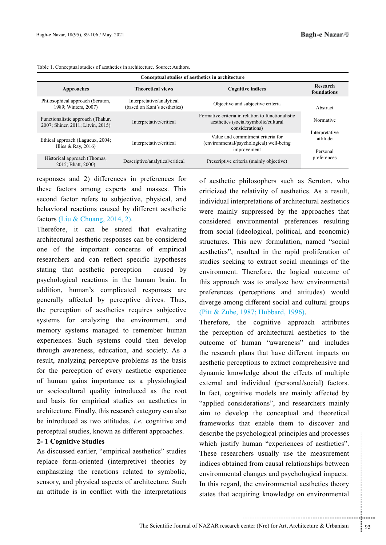| Conceptual studies of aesthetics in architecture                       |                                                           |                                                                                                              |                                        |  |
|------------------------------------------------------------------------|-----------------------------------------------------------|--------------------------------------------------------------------------------------------------------------|----------------------------------------|--|
| Approaches                                                             | <b>Theoretical views</b>                                  | <b>Cognitive indices</b>                                                                                     | Research<br>foundations                |  |
| Philosophical approach (Scruton,<br>1989; Winters, 2007)               | Interpretative/analytical<br>(based on Kant's aesthetics) | Objective and subjective criteria                                                                            | Abstract                               |  |
| Functionalistic approach (Thakur,<br>2007; Shiner, 2011; Litvin, 2015) | Interpretative/critical                                   | Formative criteria in relation to functionalistic<br>aesthetics (social/symbolic/cultural<br>considerations) | Normative                              |  |
| Ethical approach (Lagueux, 2004;<br>Illies & Ray, $2016$ )             | Interpretative/critical                                   | Value and commitment criteria for<br>(environmental/psychological) well-being<br>improvement                 | Interpretative<br>attitude<br>Personal |  |
| Historical approach (Thomas,<br>2015; Bhatt, 2000)                     | Descriptive/analytical/critical                           | Prescriptive criteria (mainly objective)                                                                     | preferences                            |  |

Table 1. Conceptual studies of aesthetics in architecture. Source: Authors.

responses and 2) differences in preferences for these factors among experts and masses. This second factor refers to subjective, physical, and behavioral reactions caused by different aesthetic factors (Liu & Chuang, 2014, 2).

Therefore, it can be stated that evaluating architectural aesthetic responses can be considered one of the important concerns of empirical researchers and can reflect specific hypotheses stating that aesthetic perception caused by psychological reactions in the human brain. In addition, human's complicated responses are generally affected by perceptive drives. Thus, the perception of aesthetics requires subjective systems for analyzing the environment, and memory systems managed to remember human experiences. Such systems could then develop through awareness, education, and society. As a result, analyzing perceptive problems as the basis for the perception of every aesthetic experience of human gains importance as a physiological or sociocultural quality introduced as the root and basis for empirical studies on aesthetics in architecture. Finally, this research category can also be introduced as two attitudes, *i.e.* cognitive and perceptual studies, known as different approaches.

#### **2-1 Cognitive Studies**

As discussed earlier, "empirical aesthetics" studies replace form-oriented (interpretive) theories by emphasizing the reactions related to symbolic, sensory, and physical aspects of architecture. Such an attitude is in conflict with the interpretations of aesthetic philosophers such as Scruton, who criticized the relativity of aesthetics. As a result, individual interpretations of architectural aesthetics were mainly suppressed by the approaches that considered environmental preferences resulting from social (ideological, political, and economic) structures. This new formulation, named "social aesthetics", resulted in the rapid proliferation of studies seeking to extract social meanings of the environment. Therefore, the logical outcome of this approach was to analyze how environmental preferences (perceptions and attitudes) would diverge among different social and cultural groups (Pitt & Zube, 1987; Hubbard, 1996).

ychological principles and processes<br>human "experiences of aesthetics".<br>hers usually use the measurement<br>d from causal relationships between<br>changes and psychological impacts.<br>the environmental aesthetics theory<br>uiring kno Therefore, the cognitive approach attributes the perception of architectural aesthetics to the outcome of human "awareness" and includes the research plans that have different impacts on aesthetic perceptions to extract comprehensive and dynamic knowledge about the effects of multiple external and individual (personal/social) factors. In fact, cognitive models are mainly affected by "applied considerations", and researchers mainly aim to develop the conceptual and theoretical frameworks that enable them to discover and describe the psychological principles and processes which justify human "experiences of aesthetics". These researchers usually use the measurement indices obtained from causal relationships between environmental changes and psychological impacts. In this regard, the environmental aesthetics theory states that acquiring knowledge on environmental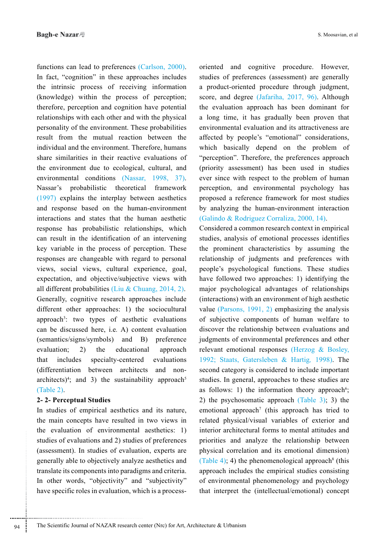functions can lead to preferences (Carlson, 2000). In fact, "cognition" in these approaches includes the intrinsic process of receiving information  $(knowledge)$  within the process of perception; therefore, perception and cognition have potential relationships with each other and with the physical personality of the environment. These probabilities result from the mutual reaction between the individual and the environment. Therefore, humans share similarities in their reactive evaluations of the environment due to ecological, cultural, and environmental conditions (Nassar, 1998, 37). Nassar's probabilistic theoretical framework  $(1997)$  explains the interplay between aesthetics and response based on the human-environment interactions and states that the human aesthetic response has probabilistic relationships, which can result in the identification of an intervening key variable in the process of perception. These responses are changeable with regard to personal views, social views, cultural experience, goal, expectation, and objective/subjective views with all different probabilities (Liu & Chuang, 2014, 2). Generally, cognitive research approaches include different other approaches: 1) the sociocultural approach<sup>3</sup>: two types of aesthetic evaluations can be discussed here, i.e. A) content evaluation  $(semantics/signs/symbols)$  and B) preference evaluation; 2) the educational approach that includes specialty-centered evaluations (differentiation between architects and non-<br>architects)<sup>4</sup>; and 3) the sustainability approach<sup>5</sup> (differentiation between architects and non- $(Table 2).$ 

### **Studies Perceptual 2- 2-**

In studies of empirical aesthetics and its nature, the main concepts have resulted in two views in the evaluation of environmental aesthetics:  $1$ ) studies of evaluations and 2) studies of preferences (assessment). In studies of evaluation, experts are generally able to objectively analyze aesthetics and translate its components into paradigms and criteria. In other words, "objectivity" and "subjectivity" have specific roles in evaluation, which is a processstudies of preferences (assessment) are generally a product-oriented procedure through judgment, score, and degree  $(Jafaraha, 2017, 96)$ . Although the evaluation approach has been dominant for a long time, it has gradually been proven that environmental evaluation and its attractiveness are affected by people's "emotional" considerations, which basically depend on the problem of "perception". Therefore, the preferences approach (priority assessment) has been used in studies ever since with respect to the problem of human perception, and environmental psychology has proposed a reference framework for most studies by analyzing the human-environment interaction  $(Galindo & Rodriguez Corraliza, 2000, 14).$ 

oriented and cognitive procedure. However,<br>
statues of preference (assessment) are generally<br>
a product-oriented procedure through judgment,<br>
score, and degree (Jafariha, 2017, 96). Although<br>
1 de voluation approach has b Considered a common research context in empirical studies, analysis of emotional processes identifies the prominent characteristics by assuming the relationship of judgments and preferences with people's psychological functions. These studies have followed two approaches: 1) identifying the major psychological advantages of relationships (interactions) with an environment of high aesthetic value (Parsons,  $1991, 2$ ) emphasizing the analysis of subjective components of human welfare to discover the relationship between evaluations and judgments of environmental preferences and other relevant emotional responses (Herzog  $\&$  Bosley, 1992; Staats, Gatersleben & Hartig, 1998). The second category is considered to include important studies. In general, approaches to these studies are as follows: 1) the information theory approach<sup>6</sup>; 2) the psychosomatic approach  $(Table 3)$ ; 3) the emotional approach<sup>7</sup> (this approach has tried to related physical/visual variables of exterior and interior architectural forms to mental attitudes and priorities and analyze the relationship between physical correlation and its emotional dimension) (Table 4); 4) the phenomenological approach<sup>8</sup> (this approach includes the empirical studies consisting of environmental phenomenology and psychology that interpret the (intellectual/emotional) concept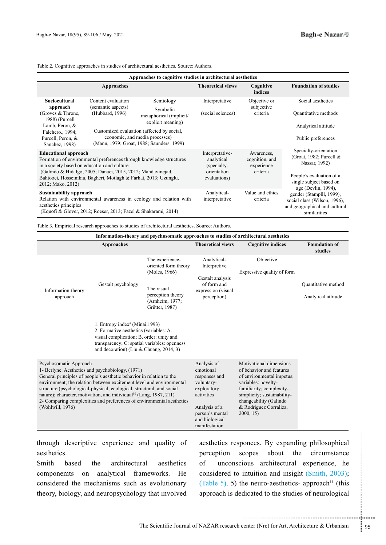Table 2. Cognitive approaches in studies of architectural aesthetics. Source: Authors.

| Approaches to cognitive studies in architectural aesthetics                                                                                                                                                                                                                                               |                                                             |                                                                                                                                                                                                    |                                                        |                                                                                                                                  |                                                                                        |
|-----------------------------------------------------------------------------------------------------------------------------------------------------------------------------------------------------------------------------------------------------------------------------------------------------------|-------------------------------------------------------------|----------------------------------------------------------------------------------------------------------------------------------------------------------------------------------------------------|--------------------------------------------------------|----------------------------------------------------------------------------------------------------------------------------------|----------------------------------------------------------------------------------------|
|                                                                                                                                                                                                                                                                                                           | <b>Approaches</b>                                           |                                                                                                                                                                                                    | <b>Theoretical views</b>                               | Cognitive<br>indices                                                                                                             | <b>Foundation of studies</b>                                                           |
| Sociocultural<br>approach<br>(Groves & Throne,<br>1988) (Purcell<br>Lamb, Peron, &<br>Falchero., 1994;<br>Purcell, Peron, &<br>Sanchez, 1998)                                                                                                                                                             | Content evaluation<br>(semantic aspects)<br>(Hubbard, 1996) | Semiology<br>Symbolic<br>metaphorical (implicit/<br>explicit meaning)<br>Customized evaluation (affected by social,<br>economic, and media processes)<br>(Mann, 1979; Groat, 1988; Saunders, 1999) | Interpretative<br>(social sciences)                    | Objective or<br>subjective<br>criteria                                                                                           | Social aesthetics<br>Quantitative methods<br>Analytical attitude<br>Public preferences |
| <b>Educational approach</b><br>Formation of environmental preferences through knowledge structures<br>in a society based on education and culture<br>(Galindo & Hidalgo, 2005; Danaci, 2015, 2012; Mahdavinejad,<br>Bahtooei, Hosseinikia, Bagheri, Motlagh & Farhat, 2013; Uzunglu,<br>2012; Mako, 2012) |                                                             | Interpretative-<br>analytical<br>(specialty-<br>orientation<br>evaluations)                                                                                                                        | Awareness,<br>cognition, and<br>experience<br>criteria | Specialty-orientation<br>(Groat, 1982; Purcell &<br>Nassar, 1992)<br>People's evaluation of a<br>single subject based on         |                                                                                        |
| <b>Sustainability approach</b><br>Relation with environmental awareness in ecology and relation with<br>aesthetics principles<br>(Kquofi & Glover, 2012; Roeser, 2013; Fazel & Shakarami, 2014)                                                                                                           |                                                             | Analytical-<br>interpretative                                                                                                                                                                      | Value and ethics<br>criteria                           | age (Devlin, 1994),<br>gender (Stamplll, 1999),<br>social class (Wilson, 1996),<br>and geographical and cultural<br>similarities |                                                                                        |

Table 3. Empirical research approaches to studies of architectural aesthetics. Source: Authors.

| Information-theory and psychosomatic approaches to studies of architectural aesthetics                                                                                                                                                                                                                                                                                                                                                                                             |                   |                                                                                                                                                             |                                                                                                                                                                                                                                    |                                            |                                 |
|------------------------------------------------------------------------------------------------------------------------------------------------------------------------------------------------------------------------------------------------------------------------------------------------------------------------------------------------------------------------------------------------------------------------------------------------------------------------------------|-------------------|-------------------------------------------------------------------------------------------------------------------------------------------------------------|------------------------------------------------------------------------------------------------------------------------------------------------------------------------------------------------------------------------------------|--------------------------------------------|---------------------------------|
|                                                                                                                                                                                                                                                                                                                                                                                                                                                                                    | <b>Approaches</b> |                                                                                                                                                             | <b>Theoretical views</b>                                                                                                                                                                                                           | <b>Cognitive indices</b>                   | <b>Foundation of</b><br>studies |
| The experience-<br>oriented form theory<br>(Moles, 1966)<br>Gestalt psychology<br>The visual<br>Information-theory<br>perception theory<br>approach<br>(Arnheim, 1977;<br>Grütter, 1987)<br>1. Entropy index <sup>9</sup> (Minai, 1993)<br>2. Formative aesthetics (variables: A.<br>visual complication; B. order: unity and<br>transparency; C: spatial variables: openness<br>and decoration) (Liu & Chuang, 2014, 3)                                                           |                   | Analytical-<br>Interpretive<br>Gestalt analysis<br>of form and<br>expression (visual<br>perception)                                                         | Objective<br>Expressive quality of form                                                                                                                                                                                            | Quantitative method<br>Analytical attitude |                                 |
| Psychosomatic Approach<br>1- Berlyne: Aesthetics and psychobiology, (1971)<br>General principles of people's aesthetic behavior in relation to the<br>environment; the relation between excitement level and environmental<br>structure (psychological-physical, ecological, structural, and social<br>nature); character, motivation, and individual <sup>10</sup> (Lang, 1987, 211)<br>2- Comparing complexities and preferences of environmental aesthetics<br>(Wohlwill, 1976) |                   | Analysis of<br>emotional<br>responses and<br>voluntary-<br>exploratory<br>activities<br>Analysis of a<br>person's mental<br>and biological<br>manifestation | Motivational dimensions<br>of behavior and features<br>of environmental impetus;<br>variables: novelty-<br>familiarity; complexity-<br>simplicity; sustainability-<br>changeability (Galindo<br>& Rodriguez Corraliza,<br>2000, 15 |                                            |                                 |

through descriptive experience and quality of .aesthetics

Smith based the architectural aesthetics componemts on analytical frameworks. He considered the mechanisms such as evolutionary theory, biology, and neuropsychology that involved

onces. By expanding philosophical<br>copes about the circumstance<br>ious architectural experience, he<br>intuition and insight (Smith, 2003);<br>ne neuro-aesthetics-approach<sup>11</sup> (this<br>dicated to the studies of neurological<br>enter (Nrc aesthetics responces. By expanding philosophical perception scopes about the circumstance of unconscious architectural experience, he considered to intuition and insight (Smith,  $2003$ ); (Table 5). 5) the neuro-aesthetics-approach<sup>11</sup> (this approach is dedicated to the studies of neurological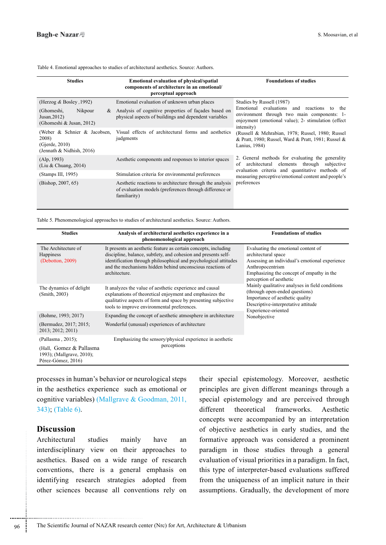|  |  |  | Table 4. Emotional approaches to studies of architectural aesthetics. Source: Authors. |
|--|--|--|----------------------------------------------------------------------------------------|
|  |  |  |                                                                                        |

| <b>Studies</b>                                                                       | <b>Emotional evaluation of physical/spatial</b><br>components of architecture in an emotional/<br>perceptual approach               | <b>Foundations of studies</b>                                                                                                                                   |  |
|--------------------------------------------------------------------------------------|-------------------------------------------------------------------------------------------------------------------------------------|-----------------------------------------------------------------------------------------------------------------------------------------------------------------|--|
| (Herzog $\&$ Bosley, 1992)                                                           | Emotional evaluation of unknown urban places                                                                                        | Studies by Russell (1987)                                                                                                                                       |  |
| Nikpour<br>(Ghomeshi,<br>&<br>Jusan, $2012$ )<br>(Ghomeshi & Jusan, 2012)            | Analysis of cognitive properties of façades based on<br>physical aspects of buildings and dependent variables                       | Emotional evaluations and reactions to the<br>environment through two main components: 1-<br>enjoyment (emotional value); 2- stimulation (effect)<br>intensity) |  |
| (Weber & Schnier & Jacobsen,<br>2008)<br>(Gjerde, 2010)<br>(Jennath & Nidhish, 2016) | Visual effects of architectural forms and aesthetics<br>judgments                                                                   | (Russell & Mehrabian, 1978; Russel, 1980; Russel<br>& Pratt, 1980; Russel, Ward & Pratt, 1981; Russel &<br>Lanius, 1984)                                        |  |
| (Alp, 1993)<br>(Liu & Chuang, 2014)                                                  | Aesthetic components and responses to interior spaces                                                                               | 2. General methods for evaluating the generality<br>of<br>architectural elements through subjective                                                             |  |
| (Stamps III, 1995)                                                                   | Stimulation criteria for environmental preferences                                                                                  | evaluation criteria and quantitative methods of<br>measuring perceptive/emotional content and people's                                                          |  |
| (Bishop, 2007, 65)                                                                   | Aesthetic reactions to architecture through the analysis<br>of evaluation models (preferences through difference or<br>familiarity) | preferences                                                                                                                                                     |  |

Table 5. Phenomenological approaches to studies of architectural aesthetics. Source: Authors.

| <b>Studies</b>                                                              | Analysis of architectural aesthetics experience in a<br>phenomenological approach                                                                                                                                                                                                   | <b>Foundations of studies</b>                                                                                                                                                                            |  |
|-----------------------------------------------------------------------------|-------------------------------------------------------------------------------------------------------------------------------------------------------------------------------------------------------------------------------------------------------------------------------------|----------------------------------------------------------------------------------------------------------------------------------------------------------------------------------------------------------|--|
| The Architecture of<br>Happiness<br>(Debottom, 2009)                        | It presents an aesthetic feature as certain concepts, including<br>discipline, balance, subtlety, and cohesion and presents self-<br>identification through philosophical and psychological attitudes<br>and the mechanisms hidden behind unconscious reactions of<br>architecture. | Evaluating the emotional content of<br>architectural space<br>Assessing an individual's emotional experience<br>Anthropocentrism<br>Emphasizing the concept of empathy in the<br>perception of aesthetic |  |
| The dynamics of delight<br>(Smith, 2003)                                    | It analyzes the value of aesthetic experience and causal<br>explanations of theoretical enjoyment and emphasizes the<br>qualitative aspects of form and space by presenting subjective<br>tools to improve environmental preferences.                                               | Mainly qualitative analyses in field conditions<br>(through open-ended questions)<br>Importance of aesthetic quality<br>Descriptive-interpretative attitude<br>Experience-oriented                       |  |
| (Bohme, 1993; 2017)                                                         | Expanding the concept of aesthetic atmosphere in architecture                                                                                                                                                                                                                       | Nonobjective                                                                                                                                                                                             |  |
| (Bermudez, 2017; 2015;<br>2013; 2012; 2011)                                 | Wonderful (unusual) experiences of architecture                                                                                                                                                                                                                                     |                                                                                                                                                                                                          |  |
| (Pallasma, 2015);                                                           | Emphasizing the sensory/physical experience in aesthetic                                                                                                                                                                                                                            |                                                                                                                                                                                                          |  |
| (Hall, Gomez & Pallasma)<br>1993); (Mallgrave, 2010);<br>Pérez-Gómez, 2016) | perceptions                                                                                                                                                                                                                                                                         |                                                                                                                                                                                                          |  |

processes in human's behavior or neurological steps in the aesthetics experience such as emotional or cognitive variables) (Mallgrave & Goodman, 2011, 343): (Table 6).

# **Discussion**

Architectural studies mainly have an interdisciplinary view on their approaches to aesthetics. Based on a wide range of research conventions, there is a general emphasis on identifying research strategies adopted from other sciences because all conventions rely on their special epistemology. Moreover, aesthetic principles are given different meanings through a special epistemology and are perceived through different theoretical frameworks. Aesthetic concepts were accompanied by an interpretation of objective aesthetics in early studies, and the formative approach was considered a prominent paradigm in those studies through a general evaluation of visual priorities in a paradigm. In fact, this type of interpreter-based evaluations suffered from the uniqueness of an implicit nature in their assumptions. Gradually, the development of more

............................................................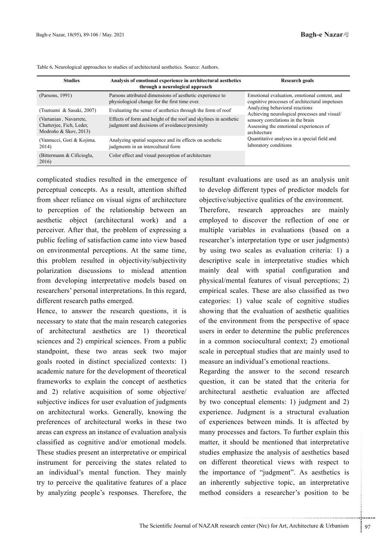| <b>Studies</b>                                                              | Analysis of emotional experience in architectural aesthetics<br>through a neurological approach                   | Research goals                                                                                 |  |
|-----------------------------------------------------------------------------|-------------------------------------------------------------------------------------------------------------------|------------------------------------------------------------------------------------------------|--|
| (Parsons, 1991)                                                             | Parsons attributed dimensions of aesthetic experience to<br>physiological change for the first time ever.         | Emotional evaluation, emotional content, and<br>cognitive processes of architectural impetuses |  |
| (Tsutsumi & Sasaki, 2007)                                                   | Evaluating the sense of aesthetics through the form of roof                                                       | Analyzing behavioral reactions<br>Achieving neurological processes and visual/                 |  |
| (Vartanian, Navarrete,<br>Chatterjee, Fich, Leder,<br>Modroño & Skov, 2013) | Effects of form and height of the roof and skylines in aesthetic<br>judgment and decisions of avoidance/proximity | sensory correlations in the brain<br>Assessing the emotional experiences of<br>architecture    |  |
| (Vannucci, Gori & Kojima,<br>2014)                                          | Analyzing spatial sequence and its effects on aesthetic<br>judgments in an intercultural form                     | Quantitative analyses in a special field and<br>laboratory conditions                          |  |
| (Bittermann & Cificioglu,<br>2016)                                          | Color effect and visual perception of architecture                                                                |                                                                                                |  |

Table 6. Neurological approaches to studies of architectural aesthetics. Source: Authors.

complicated studies resulted in the emergence of perceptual concepts. As a result, attention shifted from sheer reliance on visual signs of architecture to perception of the relationship between an aesthetic object (architectural work) and a perceiver. After that, the problem of expressing a public feeling of satisfaction came into view based on environmental perceptions. At the same time, this problem resulted in objectivity/subjectivity polarization discussions to mislead attention from developing interpretative models based on researchers' personal interpretations. In this regard, different research paths emerged.

Hence, to answer the research questions, it is necessary to state that the main research categories of architectural aesthetics are 1) theoretical sciences and 2) empirical sciences. From a public standpoint, these two areas seek two major goals rooted in distinct specialized contexts: 1) academic nature for the development of theoretical frameworks to explain the concept of aesthetics and 2) relative acquisition of some objective/ subjective indices for user evaluation of judgments on architectural works. Generally, knowing the preferences of architectural works in these two areas can express an instance of evaluation analysis classified as cognitive and/or emotional models. These studies present an interpretative or empirical instrument for perceiving the states related to an individual's mental function. They mainly try to perceive the qualitative features of a place by analyzing people's responses. Therefore, the

resultant evaluations are used as an analysis unit to develop different types of predictor models for objective/subjective qualities of the environment.

Therefore, research approaches are mainly employed to discover the reflection of one or multiple variables in evaluations (based on a researcher's interpretation type or user judgments) by using two scales as evaluation criteria: 1) a descriptive scale in interpretative studies which mainly deal with spatial configuration and physical/mental features of visual perceptions; 2) empirical scales. These are also classified as two categories: 1) value scale of cognitive studies showing that the evaluation of aesthetic qualities of the environment from the perspective of space users in order to determine the public preferences in a common sociocultural context; 2) emotional scale in perceptual studies that are mainly used to measure an individual's emotional reactions.

Id be mentioned that interpretative<br>size the analysis of aesthetics based<br>theoretical views with respect to<br>e of "judgment". As aesthetics is<br>subjective topic, an interpretative<br>lers a researcher's position to be<br>enter a r Regarding the answer to the second research question, it can be stated that the criteria for architectural aesthetic evaluation are affected by two conceptual elements: 1) judgment and 2) experience. Judgment is a structural evaluation of experiences between minds. It is affected by many processes and factors. To further explain this matter, it should be mentioned that interpretative studies emphasize the analysis of aesthetics based on different theoretical views with respect to the importance of "judgment". As aesthetics is an inherently subjective topic, an interpretative method considers a researcher's position to be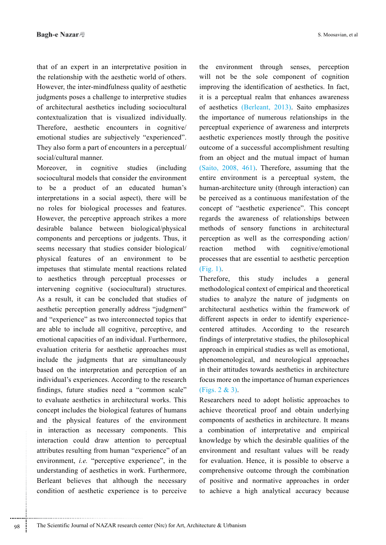that of an expert in an interpretative position in the relationship with the aesthetic world of others. However, the inter-mindfulness quality of aesthetic judgments poses a challenge to interpretive studies of architectural aesthetics including sociocultural contextualization that is visualized individually. Therefore, aesthetic encounters in cognitive/ emotional studies are subjectively "experienced". They also form a part of encounters in a perceptual/ social/cultural manner.

Moreover, in cognitive studies (including sociocultural models that consider the environment to be a product of an educated human's interpretations in a social aspect), there will be no roles for biological processes and features. However, the perceptive approach strikes a more desirable balance between biological/physical components and perceptions or judgents. Thus, it seems necessary that studies consider biological/ physical features of an environment to be impetuses that stimulate mental reactions related to aesthetics through perceptual processes or intervening cognitive (sociocultural) structures. As a result, it can be concluded that studies of aesthetic perception generally address "judgment" and "experience" as two interconnected topics that are able to include all cognitive, perceptive, and emotional capacities of an individual. Furthermore, evaluation criteria for aesthetic approaches must include the judgments that are simultaneously based on the interpretation and perception of an individual's experiences. According to the research findings, future studies need a "common scale" to evaluate aesthetics in architectural works. This concept includes the biological features of humans and the physical features of the environment in interaction as necessary components. This interaction could draw attention to perceptual attributes resulting from human "experience" of an environment, *i.e.* "perceptive experience", in the understanding of aesthetics in work. Furthermore, Berleant believes that although the necessary condition of aesthetic experience is to perceive

the environment through senses, perception will not be the sole component of cognition improving the identification of aesthetics. In fact, it is a perceptual realm that enhances awareness of aesthetics (Berleant, 2013). Saito emphasizes the importance of numerous relationships in the perceptual experience of awareness and interprets aesthetic experiences mostly through the positive outcome of a successful accomplishment resulting from an object and the mutual impact of human (Saito,  $2008$ ,  $461$ ). Therefore, assuming that the entire environment is a perceptual system, the human-architecture unity (through interaction) can be perceived as a continuous manifestation of the concept of "aesthetic experience". This concept regards the awareness of relationships between methods of sensory functions in architectural perception as well as the corresponding action/ reaction method with cognitive/emotional processes that are essential to aesthetic perception  $(Fi\varrho, 1)$ .

Therefore, this study includes a general methodological context of empirical and theoretical studies to analyze the nature of judgments on architectural aesthetics within the framework of centered attitudes. According to the research different aspects in order to identify experiencefindings of interpretative studies, the philosophical approach in empirical studies as well as emotional, phenomenological, and neurological approaches in their attitudes towards aesthetics in architecture focus more on the importance of human experiences  $(Figs. 2 \& 3)$ .

Researchers need to adopt holistic approaches to achieve theoretical proof and obtain underlying components of aesthetics in architecture. It means a combination of interpretative and empirical knowledge by which the desirable qualities of the environment and resultant values will be ready for evaluation. Hence, it is possible to observe a comprehensive outcome through the combination of positive and normative approaches in order to achieve a high analytical accuracy because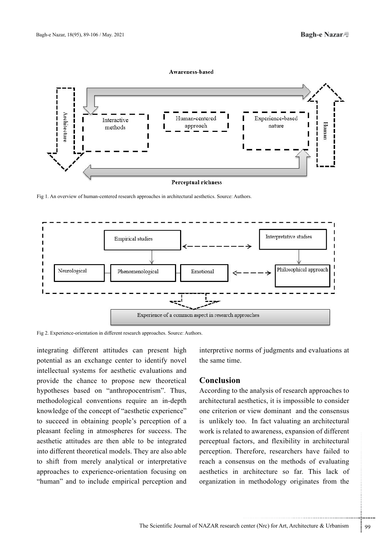#### Awareness\_hased



**Perceptual richness** 

Fig 1. An overview of human-centered research approaches in architectural aesthetics. Source: Authors.



Fig 2. Experience-orientation in different research approaches. Source: Authors.

integrating different attitudes can present high potential as an exchange center to identify novel intellectual systems for aesthetic evaluations and provide the chance to propose new theoretical hypotheses based on "anthropocentrism". Thus, methodological conventions require an in-depth knowledge of the concept of "aesthetic experience" to succeed in obtaining people's perception of a pleasant feeling in atmospheres for success. The aesthetic attitudes are then able to be integrated into different theoretical models. They are also able to shift from merely analytical or interpretative approaches to experience-orientation focusing on "human" and to include empirical perception and interpretive norms of judgments and evaluations at the same time

## **Conclusion**

tors, and flexibility in architectural<br>erefore, researchers have failed to<br>nsus on the methods of evaluating<br>architecture so far. This lack of<br>n methodology originates from the<br>nethodology originates from the<br>nethodology o According to the analysis of research approaches to architectural aesthetics, it is impossible to consider one criterion or view dominant and the consensus is unlikely too. In fact valuating an architectural work is related to awareness, expansion of different perceptual factors, and flexibility in architectural perception. Therefore, researchers have failed to reach a consensus on the methods of evaluating aesthetics in architecture so far. This lack of organization in methodology originates from the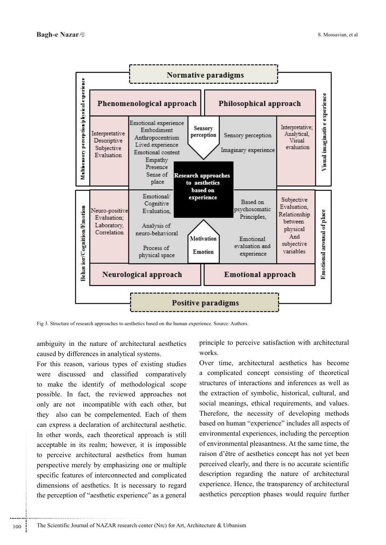

Fig 3. Structure of research approaches to aesthetics based on the human experience. Source: Authors.

ambiguity in the nature of architectural aesthetics caused by differences in analytical systems.

For this reason, various types of existing studies were discussed and classified comparatively to make the identify of methodological scope possible. In fact, the reviewed approaches not only are not incompatible with each other, but they also can be compelemented. Each of them can express a declaration of architectural aesthetic. In other words, each theoretical approach is still acceptable in its realm; however, it is impossible to perceive architectural aesthetics from human perspective merely by emphasizing one or multiple specific features of interconnected and complicated dimensions of aesthetics. It is necessary to regard the perception of "aesthetic experience" as a general

principle to perceive satisfaction with architectural .works

Over time, architectural aesthetics has become a complicated concept consisting of theoretical structures of interactions and inferences as well as the extraction of symbolic, historical, cultural, and social meanings, ethical requirements, and values. Therefore, the necessity of developing methods based on human "experience" includes all aspects of environmental experiences, including the perception of environmental pleasantness. At the same time, the raison d'être of aesthetics concept has not yet been perceived clearly, and there is no accurate scientific description regarding the nature of architectural experience. Hence, the transparency of architectural aesthetics perception phases would require further

............................................................ 100 : The Scientific Journal of NAZAR research center (Nrc) for Art, Architecture & Urbanism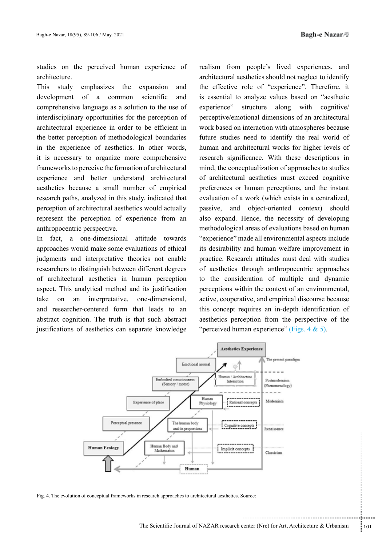studies on the perceived human experience of .architecture

This study emphasizes the expansion and development of a common scientific and comprehensive language as a solution to the use of interdisciplinary opportunities for the perception of architectural experience in order to be efficient in the better perception of methodological boundaries in the experience of aesthetics. In other words, it is necessary to organize more comprehensive frameworks to perceive the formation of architectural experience and better understand architectural aesthetics because a small number of empirical research paths, analyzed in this study, indicated that perception of architectural aesthetics would actually represent the perception of experience from an anthropocentric perspective.

In fact, a one-dimensional attitude towards approaches would make some evaluations of ethical judgments and interpretative theories not enable researchers to distinguish between different degrees of architectural aesthetics in human perception aspect. This analytical method and its justification take on an interpretative, one-dimensional, and researcher-centered form that leads to an abstract cognition. The truth is that such abstract justifications of aesthetics can separate knowledge

realism from people's lived experiences, and architectural aesthetics should not neglect to identify the effective role of "experience". Therefore, it is essential to analyze values based on "aesthetic experience" structure along with cognitive perceptive/emotional dimensions of an architectural work based on interaction with atmospheres because future studies need to identify the real world of human and architectural works for higher levels of research significance. With these descriptions in mind, the conceptualization of approaches to studies of architectural aesthetics must exceed cognitive preferences or human perceptions, and the instant evaluation of a work (which exists in a centralized, passive, and object-oriented context) should also expand. Hence, the necessity of developing methodological areas of evaluations based on human " experience" made all environmental aspects include its desirability and human welfare improvement in practice. Research attitudes must deal with studies of aesthetics through anthropocentric approaches to the consideration of multiple and dynamic perceptions within the context of an environmental, active, cooperative, and empirical discourse because this concept requires an in-depth identification of aesthetics perception from the perspective of the " perceived human experience" (Figs.  $4 \& 5$ ).



Fig. 4. The evolution of conceptual frameworks in research approaches to architectural aesthetics. Source: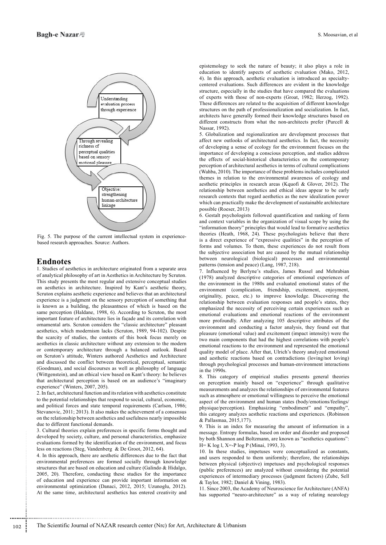

Fig. 5. The purpose of the current intellectual system in experience-<br>based-research approaches. Source: Authors.

#### **Endnotes**

1. Studies of aesthetics in architecture originated from a separate area of analytical philosophy of art in Aesthetics in Architecture by Scruton. This study presents the most regular and extensive conceptual studies on aesthetics in architecture. Inspired by Kant's aesthetic theory, Scruton explains aesthetic experience and believes that an architectural experience is a judgment on the sensory perception of something that is known as a building, the pleasantness of which is based on the same perception (Haldane, 1998, 6). According to Scruton, the most important feature of architecture lies in façade and its correlation with ornamental arts. Scruton considers the "classic architecture" pleasant aesthetics, which modernism lacks (Scruton, 1989, 94-102). Despite the scarcity of studies, the contents of this book focus merely on aesthetics in classic architecture without any extension to the modern or contemporary architecture through a balanced outlook. Based on Scruton's attitude, Winters authored Aesthetics and Architecture and discussed the conflict between theoretical, perceptual, semantic (Goodman), and social discourses as well as philosophy of language (Wittgenstein), and an ethical view based on Kant's theory: he believes that architectural perception is based on an audience's "imaginary experience" (Winters, 2007, 205).

2. In fact, architectural function and its relation with aesthetics constitute to the potential relationships that respond to social, cultural, economic, and political forces and state temporal requirements (Carlson, 1986; Stevanovic, 2011; 2013). It also makes the achievement of a consensus on the relationship between aesthetics and usefulness nearly impossible due to different functional demands.

3. Cultural theories explain preferences in specific forms thought and developed by society, culture, and personal characteristics, emphasize evaluations formed by the identification of the environment, and focus less on reactions (Steg, Vandenberg & De Groot, 2012, 64).

4. In this approach, there are aesthetic differences due to the fact that environmental preferences are formed socially through knowledge structures that are based on education and culture (Galindo & Hidalgo,  $2005$ ,  $20$ ). Therefore, conducting these studies for the importance of education and experience can provide important information on environmental optimization (Danaci, 2012, 2015; Uzunoglu, 2012). At the same time, architectural aesthetics has entered creativity and

epistemology to seek the nature of beauty; it also plays a role in education to identify aspects of aesthetic evaluation (Mako, 2012, centered evaluations. Such differences are evident in the knowledge 4). In this approach, aesthetic evaluation is introduced as specialtystructure, especially in the studies that have compared the evaluations of experts with those of non-experts (Groat, 1982; Herzog, 1992). These differences are related to the acquisition of different knowledge structures on the path of professionalization and socialization. In fact, architects have generally formed their knowledge structures based on different constructs from what the non-architects prefer (Purcell  $\&$ Nassar, 1992).

5. Globalization and regionalization are development processes that affect new outlooks of architectural aesthetics. In fact, the necessity of developing a sense of ecology for the environment focuses on the importance of developing a conscious perception, and studies address the effects of social-historical characteristics on the contemporary perception of architectural aesthetics in terms of cultural complications (Wahba, 2010). The importance of these problems includes complicated themes in relation to the environmental awareness of ecology and aesthetic principles in research areas (Kquofi & Glover, 2012). The relationship between aesthetics and ethical ideas appear to be early research contexts that regard aesthetics as the new idealization power which can practically make the development of sustainable architecture possible (Roeser, 2013)

6. Gestalt psychologists followed quantification and ranking of form and context variables in the organization of visual scope by using the "information theory" principles that would lead to formative aesthetics theories (Heath, 1968, 24). These psychologists believe that there is a direct experience of "expressive qualities" in the perception of forms and volumes. To them, these experiences do not result from the subjective association but are caused by the mutual relationship between neurological (biological) processes and environmental patterns (tension and peace) (Lang, 1987, 218).

7. Influenced by Berlyne's studies, James Russel and Mehrabian (1978) analyzed descriptive categories of emotional experiences of the environment in the 1980s and evaluated emotional states of the environment (complication, friendship, excitement, enjoyment, originality, peace, etc.) to improve knowledge. Discovering the relationship between evaluation responses and people's states, they emphasized the necessity of perceiving certain experiences such as emotional evaluations and emotional reactions of the environment more profoundly. After analyzing 105 descriptive attributes of the environment and conducting a factor analysis, they found out that pleasure (emotional value) and excitement (impact intensity) were the two main components that had the highest correlations with people's emotional reactions to the environment and represented the emotional quality model of place. After that, Ulrich's theory analyzed emotional and aesthetic reactions based on contradictions (loving/not loving) through psychological processes and human-environment interactions in the  $1990s$ .

8. This category of empirical studies presents general theories on perception mainly based on "experience" through qualitative measurements and analyzes the relationships of environmental features such as atmosphere or emotional willingness to perceive the emotional aspect of the environment and human states (body/emotions/feelings/ physique/perception). Emphasizing "embodiment" and "empathy", this category analyzes aesthetic reactions and experiences. (Robinson & Pallasmaa, 2015,177).

9. This is an index for measuring the amount of information in a message. Entropy formulas, based on order and disorder and proposed by both Shannon and Boltzmann, are known as "aesthetics equations":  $H=K \log l$ , X=-P  $\log P$  (Minai, 1993, 3).

10. In these studies, impetuses were conceptualized as constants, and users responded to them uniformly; therefore, the relationships between physical (objective) impetuses and psychological responses (public preferences) are analyzed without considering the potential experiences of intermediary processes (judgment factors) (Zube, Sell & Taylor, 1982; Daniel & Vining, 1983).

11. Since 2003, the Academy of Neuroscience for Architecture (ANFA) has supported "neuro-architecture" as a way of relating neurology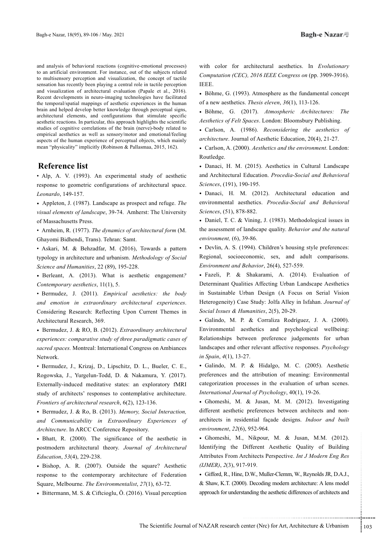and analysis of behavioral reactions (cognitive-emotional processes) to an artificial environment. For instance, out of the subjects related to multisensory perception and visualization, the concept of tactile sensation has recently been playing a central role in tactile perception and visualization of architectural evaluation (Papale et al., 2016). Recent developments in neuro-imaging technologies have facilitated the temporal/spatial mappings of aesthetic experiences in the human brain and helped develop better knowledge through perceptual signs, architectural elements, and configurations that stimulate specific aesthetic reactions. In particular, this approach highlights the scientific studies of cognitive correlations of the brain (nerve)-body related to empirical aesthetics as well as sensory/motor and emotional/feeling aspects of the human experience of perceptual objects, which mainly mean "physicality" implicitly (Robinson & Pallasmaa, 2015, 162).

## **Reference** list

• Alp, A. V. (1993). An experimental study of aesthetic response to geometric configurations of architectural space. Leonardo, 149-157.

• Appleton, J. (1987). Landscape as prospect and refuge. *The* visual elements of landscape, 39-74. Amherst: The University of Massachusetts Press.

• Arnheim, R. (1977). The dynamics of architectural form (M. Ghayomi Bidhendi, Trans). Tehran: Samt.

• Askari, M. & Behzadfar, M. (2016), Towards a pattern typology in architecture and urbanism. Methodology of Social Science and Humanities, 22 (89), 195-228.

• Berleant, A. (2013). What is aesthetic engagement? Contemporary aesthetics, 11(1), 5.

• Bermudez, J. (2011). *Empirical aesthetics: the body*  .*experiences architectural extraordinary in emotion and* Considering Research: Reflecting Upon Current Themes in Architectural Research, 369.

• Bermudez, J. & RO, B. (2012). *Extraordinary architectural experiences: comparative study of three paradigmatic cases of* sacred spaces. Montreal: International Congress on Ambiances Network.

• Bermudez, J., Krizaj, D., Lipschitz, D. L., Bueler, C. E., Rogowska, J., Yurgelun-Todd, D. & Nakamura, Y. (2017). Externally-induced meditative states: an exploratory fMRI study of architects' responses to contemplative architecture. Frontiers of architectural research, 6(2), 123-136.

• Bermudez, J. & Ro, B. (2013). Memory, Social Interaction, and Communicability in Extraordinary Experiences of Architecture. In ARCC Conference Repository.

• Bhatt, R. (2000). The significance of the aesthetic in postmodern architectural theory. Journal of Architectural Education, 53(4), 229-238.

• Bishop, A. R. (2007). Outside the square? Aesthetic response to the contemporary architecture of Federation Square, Melbourne. The Environmentalist, 27(1), 63-72.

• Bittermann, M. S. & Ciftcioglu, Ö. (2016). Visual perception

with color for architectural aesthetics. In Evolutionary Computation (CEC), 2016 IEEE Congress on (pp. 3909-3916). .IEEE

• Böhme, G. (1993). Atmosphere as the fundamental concept of a new aesthetics. Thesis eleven, 36(1), 113-126.

• Böhme, G. (2017). Atmospheric Architectures: The Aesthetics of Felt Spaces. London: Bloomsbury Publishing.

• Carlson, A. (1986). *Reconsidering the aesthetics of* architecture. Journal of Aesthetic Education, 20(4), 21-27.

• Carlson, A. (2000). Aesthetics and the environment. London: Routledge.

• Danaci, H. M. (2015). Aesthetics in Cultural Landscape and Architectural Education. Procedia-Social and Behavioral Sciences, (191), 190-195.

• Danaci, H. M. (2012). Architectural education and environmental aesthetics. Procedia-Social and Behavioral Sciences, (51), 878-882.

• Daniel, T. C. & Vining, J. (1983). Methodological issues in the assessment of landscape quality. Behavior and the natural environment, (6), 39-86.

• Devlin, A. S. (1994). Children's housing style preferences: Regional, socioeconomic, sex, and adult comparisons. Environment and Behavior, 26(4), 527-559.

· Fazeli, P. & Shakarami, A. (2014). Evaluation of Determinant Qualities Affecting Urban Landscape Aesthetics in Sustainable Urban Design (A Focus on Serial Vision Heterogeneity) Case Study: Jolfa Alley in Isfahan. Journal of Social Issues & Humanities, 2(5), 20-29.

· Galindo, M. P. & Corraliza Rodríguez, J. A. (2000). Environmental aesthetics and psychological wellbeing: Relationships between preference judgements for urban landscapes and other relevant affective responses. Psychology in Spain, 4(1), 13-27.

• Galindo, M. P. & Hidalgo, M. C. (2005). Aesthetic preferences and the attribution of meaning: Environmental categorization processes in the evaluation of urban scenes. International Journal of Psychology, 40(1), 19-26.

• Ghomeshi, M. & Jusan, M. M. (2012). Investigating architects in residential façade designs. Indoor and built different aesthetic preferences between architects and nonenvironment, 22(6), 952-964.

Nikpour, M. & Jusan, M.M. (2012).<br>
Different Aesthetic Quality of Building<br>
rchitects Perspective. *Int J Modern Eng Res*<br>
7-919.<br>
D.W., Muller-Clemm, W., Reynolds JR, D.A.J.,<br>
(i). Decoding modern architecture: A lens mod  $\bullet$  Ghomeshi, M., Nikpour, M. & Jusan, M.M. (2012). Identifying the Different Aesthetic Quality of Building Attributes From Architects Perspective. Int J Modern Eng Res (IJMER), 2(3), 917-919.

• Gifford, R., Hine, D.W., Muller-Clemm, W., Reynolds JR, D.A.J., & Shaw, K.T. (2000). Decoding modern architecture: A lens model approach for understanding the aesthetic differences of architects and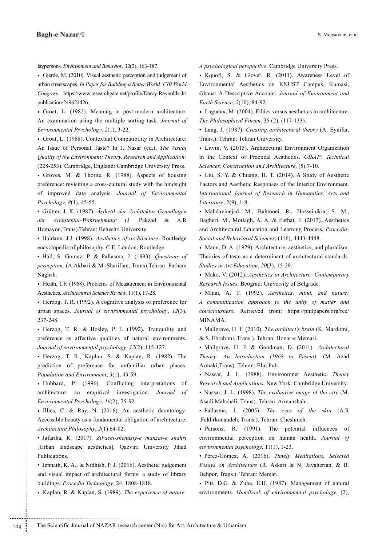laypersons. Environment and Behavior, 32(2), 163-187.

• Gjerde, M. (2010). Visual aesthetic perception and judgement of urban streetscapes. In Paper for Building a Better World: CIB World Congress. https://www.researchgate.net/profile/Darcy-Reynolds-Jr/ publication/249624426.

• Groat, L. (1982). Meaning in post-modern architecture: An examination using the multiple sorting task. Journal of Environmental Psychology, 2(1), 3-22.

• Groat, L. (1988). Contextual Compatibility in Architecture: An Issue of Personal Taste? In J. Nasar (ed.), The Visual *Quality of the Environment: Theory, Research and Application:* (228-253). Cambridge, England: Cambridge University Press.

• Groves, M. & Thorne, R. (1988). Aspects of housing preference: revisiting a cross-cultural study with the hindsight of improved data analysis. Journal of Environmental Psychology, 8(1), 45-55.

• Grütter, J. K. (1987). Ästhetik der Architektur Grundlagen der Architektur-Wahrnehmung (J. Pakzad & A.R Homayon, Trans). Tehran: Beheshti University.

• Haldane, J.J. (1998). Aesthetics of architecture. Routledge encyclopedia of philosophy. C.E. London, Routledge.

• Hall, S. Gomez, P. & Pallasma, J. (1993). Questions of perception. (A.Akbari & M. Sharifian, Trans).Tehran: Parham Naghsh.

Heath, T.F. (1968). Problems of Measurement in Environmental Aesthetics. Architectural Science Review, 11(1), 17-28.

Herzog, T. R. (1992). A cognitive analysis of preference for urban spaces. Journal of environmental psychology, 12(3), 237-248.

• Herzog, T. R. & Bosley, P. J. (1992). Tranquility and preference as affective qualities of natural environments. Journal of environmental psychology, 12(2), 115-127.

• Herzog, T. R., Kaplan, S. & Kaplan, R. (1982). The prediction of preference for unfamiliar urban places. Population and Environment, 5(1), 43-59.

• Hubbard, P. (1996). Conflicting interpretations of architecture: an empirical investigation. Journal of Environmental Psychology, 16(2), 75-92.

· Illies, C. & Ray, N. (2016). An aesthetic deontology: Accessible beauty as a fundamental obligation of architecture. Architecture Philosophy, 2(1) 64-82.

• Jafariha, R. (2017). Zibaeei-shenasiy-e manzar-e shahri [Urban landscape aesthetics]. Qazvin: University Jihad Publications.

• Jennath, K. A., & Nidhish, P. J. (2016). Aesthetic judgement and visual impact of architectural forms: a study of library buildings. Procedia Technology, 24, 1808-1818.

• Kaplan, R. & Kaplan, S. (1989). *The experience of nature:* 

A psychological perspective. Cambridge University Press.

• Kquofi, S. & Glover, R. (2011). Awareness Level of Environmental Aesthetics on KNUST Campus, Kumasi, Ghana: A Descriptive Account. Journal of Environment and Earth Science, 2(10), 84-92.

• Lagueux, M. (2004). Ethics versus aesthetics in architecture. The Philosophical Forum, 35 (2), (117-133).

• Lang, J. (1987). Creating architectural theory (A. Eynifar, Trans.). Tehran: Tehran University.

• Litvin, V. (2015). Architectural Environment Organization in the Context of Practical Aesthetics. GISAP: Technical Sciences, Construction and Architecture, (5),7-10.

• Liu, S. Y. & Chuang, H. T. (2014). A Study of Aesthetic Factors and Aesthetic Responses of the Interior Environment. International Journal of Research in Humanities, Arts and Literature, 2(9), 1-8.

• Mahdavinejad, M., Bahtooei, R., Hosseinikia, S. M., Bagheri, M., Motlagh, A. A. & Farhat, F. (2013). Aesthetics and Architectural Education and Learning Process. *Procedia-*<br>Social and Behavioral Sciences, (116), 4443-4448.

• Mann, D. A. (1979). Architecture, aesthetics, and pluralism: Theories of taste as a determinant of architectural standards. Studies in Art Education, 20(3), 15-29.

• Mako, V. (2012). Aesthetics in Architecture: Contemporary Research Issues. Beograd: University of Belgrade.

• Minai, A. T. (1993). Aesthetics, mind, and nature: A communication approach to the unity of matter and consciousness. Retrieved from: https://philpapers.org/rec/ .MINAMA

• Mallgrave, H. F. (2010). The architect's brain (K. Mardomi, & S. Ebrahimi, Trans.). Tehran: Honar-e Memari.

• Mallgrave, H. F. & Goodman, D. (2011). Architectural Theory: An Introduction (1968 to Pesent). (M. Azad Armaki, Trans). Tehran: Elm Pub.

• Nassar, J. L. (1988). Environmnet Aesthetic. Theory *Research and Applications.* New York: Cambridge University. • Nassar, J. L. (1998). The evaluative image of the city (M.

Asadi Mahchali, Trans). Tehran: Armanshahr.

• Pallasma, J. (2005). The eyes of the skin (A.R .Fakhrkonandeh, Trans.). Tehran: Cheshmeh.

• Parsons, R. (1991). The potential influences of environmental perception on human health. Journal of environmental psychology, 11(1), 1-23.

• Pérez-Gómez, A. (2016). Timely Meditations, Selected Essays on Architecture (R. Askari & N. Javaherian, & B. Behpor, Trans.). Tehran: Memar.

• Pitt, D.G. & Zube, E.H. (1987). Management of natural environments. *Handbook of environmental psychology*, (2),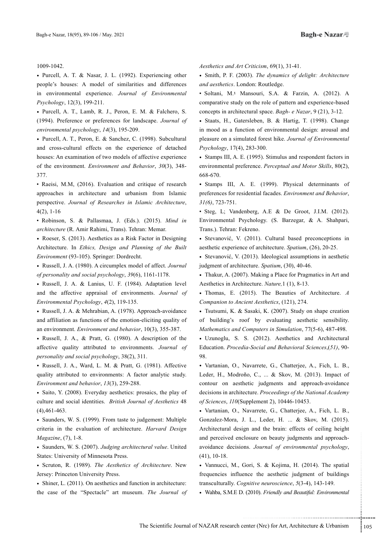1009-1042.

• Purcell, A. T. & Nasar, J. L. (1992). Experiencing other people's houses: A model of similarities and differences in environmental experience. Journal of Environmental Psychology, 12(3), 199-211.

. Purcell, A. T., Lamb, R. J., Peron, E. M. & Falchero, S. *(1994).* Preference or preferences for landscape. Journal of environmental psychology, 14(3), 195-209.

• Purcell, A. T., Peron, E. & Sanchez, C. (1998). Subcultural and cross-cultural effects on the experience of detached houses: An examination of two models of affective experience of the environment. Environment and Behavior, 30(3), 348-377.

• Raeisi, M.M, (2016). Evaluation and critique of research approaches in architecture and urbanism from Islamic perspective. Journal of Researches in Islamic Architecture,  $4(2), 1-16$ 

• Robinson, S. & Pallasmaa, J. (Eds.). (2015). Mind in architecture (R. Amir Rahimi, Trans). Tehran: Memar.

• Roeser, S. (2013). Aesthetics as a Risk Factor in Designing Architecture. In *Ethics*, *Design and Planning of the Built* Environment (93-105). Springer: Dordrecht.

• Russell, J. A. (1980). A circumplex model of affect. Journal of personality and social psychology, 39(6), 1161-1178.

• Russell, J. A. & Lanius, U. F. (1984). Adaptation level and the affective appraisal of environments. Journal of Environmental Psychology, 4(2), 119-135.

• Russell, J. A. & Mehrabian, A. (1978). Approach-avoidance and affiliation as functions of the emotion-eliciting quality of an environment. Environment and behavior, 10(3), 355-387.

• Russell, J. A., & Pratt, G. (1980). A description of the affective quality attributed to environments. Journal of personality and social psychology, 38(2), 311.

• Russell, J. A., Ward, L. M. & Pratt, G. (1981). Affective quality attributed to environments: A factor analytic study. Environment and behavior, 13(3), 259-288.

• Saito, Y. (2008). Everyday aesthetics: prosaics, the play of culture and social identities. British Journal of Aesthetics 48  $(4)$ , 461-463.

• Saunders, W. S. (1999). From taste to judgement: Multiple criteria in the evaluation of architecture. Harvard Design Magazine, (7), 1-8.

• Saunders, W. S. (2007). Judging architectural value. United States: University of Minnesota Press.

• Scruton, R. (1989). *The Aesthetics of Architecture*. New Jersey: Princeton University Press.

• Shiner, L. (2011). On aesthetics and function in architecture: the case of the "Spectacle" art museum. The Journal of Aesthetics and Art Criticism, 69(1), 31-41.

• Smith, P. F. (2003). *The dynamics of delight: Architecture* and aesthetics. London: Routledge.

• Soltani, M.<sup>4</sup> Mansouri, S.A. & Farzin, A. (2012). A comparative study on the role of pattern and experience-based concepts in architectural space. Bagh- e Nazar, 9 (21), 3-12.

• Staats, H., Gatersleben, B. & Hartig, T. (1998). Change in mood as a function of environmental design: arousal and pleasure on a simulated forest hike. Journal of Environmental Psychology, 17(4), 283-300.

• Stamps III, A. E. (1995). Stimulus and respondent factors in environmental preference. Perceptual and Motor Skills, 80(2), 668-670.

• Stamps III, A. E. (1999). Physical determinants of preferences for residential facades. *Environment and Behavior*, 31(6), 723-751.

• Steg, L; Vandenberg, A.E. & De Groot, J.I.M.  $(2012)$ . Environmental Psychology. (S. Barzegar, & A. Shahpari, Trans.). Tehran: Fekreno.

• Stevanović, V. (2011). Cultural based preconceptions in aesthetic experience of architecture. Spatium, (26), 20-25.

• Stevanović, V. (2013). Ideological assumptions in aesthetic judgment of architecture. Spatium, (30), 40-46.

• Thakur, A. (2007). Making a Place for Pragmatics in Art and Aesthetics in Architecture. *Nature*, 1 (1), 8-13.

• Thomas, E. (2015). The Beauties of Architecture. A Companion to Ancient Aesthetics, (121), 274.

• Tsutsumi, K. & Sasaki, K. (2007). Study on shape creation of building's roof by evaluating aesthetic sensibility. Mathematics and Computers in Simulation, 77(5-6), 487-498.

• Uzunoglu, S. S. (2012). Aesthetics and Architectural Education. Procedia-Social and Behavioral Sciences, (51), 90-98.

• Vartanian, O., Navarrete, G., Chatterjee, A., Fich, L. B., Leder, H., Modroño, C., ... & Skov, M. (2013). Impact of contour on aesthetic judgments and approach-avoidance decisions in architecture. Proceedings of the National Academy of Sciences,  $110$  (Supplement 2), 10446-10453.

Expections. Journal of environmental psychology,<br>
Gori, S. & Kojima, H. (2014). The spatial<br>
ence the aesthetic judgment of buildings<br>
genitive neuroscience, 5(3-4), 143-149.<br>
(2010). *Friendly and Beautiful: Environmental* • Vartanian, O., Navarrete, G., Chatterjee, A., Fich, L. B., Gonzalez-Mora, J. L., Leder, H. ... & Skov, M. (2015). Architectural design and the brain: effects of ceiling height avoidance decisions. *Journal of environmental psychology*, and perceived enclosure on beauty judgments and approach- $(41), 10-18.$ 

• Vannucci, M., Gori, S. & Kojima, H. (2014). The spatial frequencies influence the aesthetic judgment of buildings transculturally. Cognitive neuroscience, 5(3-4), 143-149.

• Wahba, S.M.E D. (2010). Friendly and Beautiful: Environmental